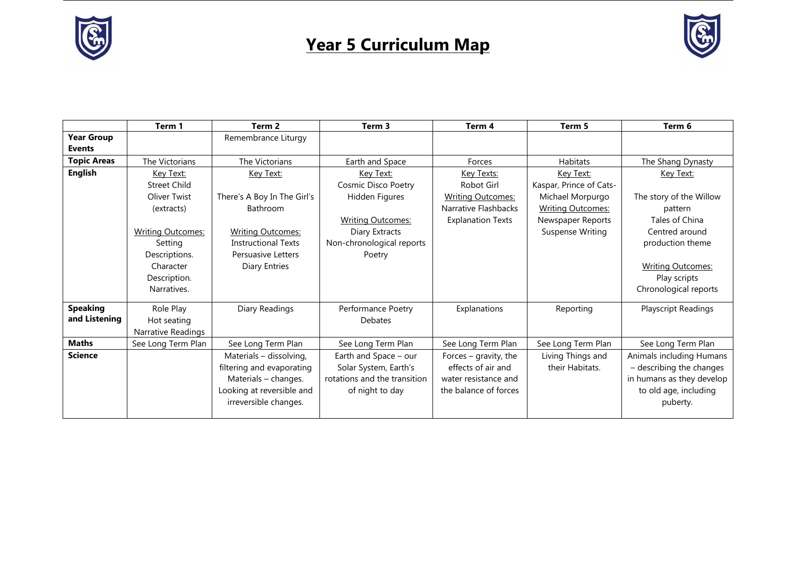



|                    | Term 1                   | Term 2                      | Term <sub>3</sub>                              | Term 4                                        | Term 5                               | Term 6                                               |
|--------------------|--------------------------|-----------------------------|------------------------------------------------|-----------------------------------------------|--------------------------------------|------------------------------------------------------|
| <b>Year Group</b>  |                          | Remembrance Liturgy         |                                                |                                               |                                      |                                                      |
| <b>Events</b>      |                          |                             |                                                |                                               |                                      |                                                      |
| <b>Topic Areas</b> | The Victorians           | The Victorians              | Earth and Space                                | Forces                                        | Habitats                             | The Shang Dynasty                                    |
| <b>English</b>     | Key Text:                | Key Text:                   | Key Text:                                      | Key Texts:                                    | Key Text:                            | Key Text:                                            |
|                    | <b>Street Child</b>      |                             | Cosmic Disco Poetry                            | <b>Robot Girl</b>                             | Kaspar, Prince of Cats-              |                                                      |
|                    | Oliver Twist             | There's A Boy In The Girl's | Hidden Figures                                 | <b>Writing Outcomes:</b>                      | Michael Morpurgo                     | The story of the Willow                              |
|                    | (extracts)               | <b>Bathroom</b>             |                                                | Narrative Flashbacks                          | <b>Writing Outcomes:</b>             | pattern                                              |
|                    |                          |                             | <b>Writing Outcomes:</b>                       | <b>Explanation Texts</b>                      | Newspaper Reports                    | Tales of China                                       |
|                    | <b>Writing Outcomes:</b> | <b>Writing Outcomes:</b>    | Diary Extracts                                 |                                               | Suspense Writing                     | Centred around                                       |
|                    | Setting                  | <b>Instructional Texts</b>  | Non-chronological reports                      |                                               |                                      | production theme                                     |
|                    | Descriptions.            | <b>Persuasive Letters</b>   | Poetry                                         |                                               |                                      |                                                      |
|                    | Character                | <b>Diary Entries</b>        |                                                |                                               |                                      | <b>Writing Outcomes:</b>                             |
|                    | Description.             |                             |                                                |                                               |                                      | Play scripts                                         |
|                    | Narratives.              |                             |                                                |                                               |                                      | Chronological reports                                |
| <b>Speaking</b>    | Role Play                | Diary Readings              | Performance Poetry                             | Explanations                                  | Reporting                            | Playscript Readings                                  |
| and Listening      | Hot seating              |                             | <b>Debates</b>                                 |                                               |                                      |                                                      |
|                    | Narrative Readings       |                             |                                                |                                               |                                      |                                                      |
| <b>Maths</b>       | See Long Term Plan       | See Long Term Plan          | See Long Term Plan                             | See Long Term Plan                            | See Long Term Plan                   | See Long Term Plan                                   |
| <b>Science</b>     |                          |                             |                                                |                                               |                                      |                                                      |
|                    |                          | Materials - dissolving,     | Earth and Space - our<br>Solar System, Earth's | Forces $-$ gravity, the<br>effects of air and | Living Things and<br>their Habitats. | Animals including Humans<br>- describing the changes |
|                    |                          | filtering and evaporating   |                                                | water resistance and                          |                                      |                                                      |
|                    |                          | Materials - changes.        | rotations and the transition                   |                                               |                                      | in humans as they develop                            |
|                    |                          | Looking at reversible and   | of night to day                                | the balance of forces                         |                                      | to old age, including                                |
|                    |                          | irreversible changes.       |                                                |                                               |                                      | puberty.                                             |
|                    |                          |                             |                                                |                                               |                                      |                                                      |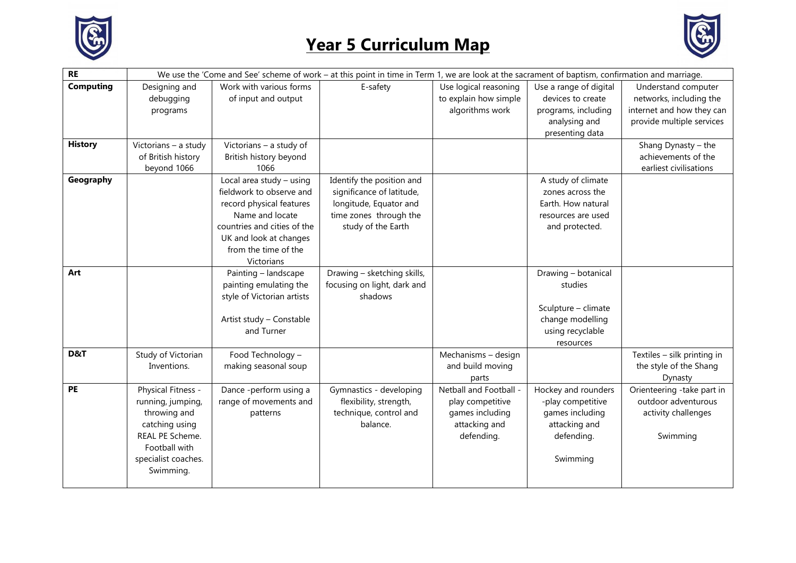



| <b>RE</b>        | We use the 'Come and See' scheme of work - at this point in time in Term 1, we are look at the sacrament of baptism, confirmation and marriage. |                             |                             |                        |                        |                             |
|------------------|-------------------------------------------------------------------------------------------------------------------------------------------------|-----------------------------|-----------------------------|------------------------|------------------------|-----------------------------|
| <b>Computing</b> | Designing and                                                                                                                                   | Work with various forms     | E-safety                    | Use logical reasoning  | Use a range of digital | Understand computer         |
|                  | debugging                                                                                                                                       | of input and output         |                             | to explain how simple  | devices to create      | networks, including the     |
|                  | programs                                                                                                                                        |                             |                             | algorithms work        | programs, including    | internet and how they can   |
|                  |                                                                                                                                                 |                             |                             |                        | analysing and          | provide multiple services   |
|                  |                                                                                                                                                 |                             |                             |                        | presenting data        |                             |
| <b>History</b>   | Victorians - a study                                                                                                                            | Victorians - a study of     |                             |                        |                        | Shang Dynasty - the         |
|                  | of British history                                                                                                                              | British history beyond      |                             |                        |                        | achievements of the         |
|                  | beyond 1066                                                                                                                                     | 1066                        |                             |                        |                        | earliest civilisations      |
| Geography        |                                                                                                                                                 | Local area study - using    | Identify the position and   |                        | A study of climate     |                             |
|                  |                                                                                                                                                 | fieldwork to observe and    | significance of latitude,   |                        | zones across the       |                             |
|                  |                                                                                                                                                 | record physical features    | longitude, Equator and      |                        | Earth. How natural     |                             |
|                  |                                                                                                                                                 | Name and locate             | time zones through the      |                        | resources are used     |                             |
|                  |                                                                                                                                                 | countries and cities of the | study of the Earth          |                        | and protected.         |                             |
|                  |                                                                                                                                                 | UK and look at changes      |                             |                        |                        |                             |
|                  |                                                                                                                                                 | from the time of the        |                             |                        |                        |                             |
|                  |                                                                                                                                                 | Victorians                  |                             |                        |                        |                             |
| Art              |                                                                                                                                                 | Painting - landscape        | Drawing - sketching skills, |                        | Drawing - botanical    |                             |
|                  |                                                                                                                                                 | painting emulating the      | focusing on light, dark and |                        | studies                |                             |
|                  |                                                                                                                                                 | style of Victorian artists  | shadows                     |                        |                        |                             |
|                  |                                                                                                                                                 |                             |                             |                        | Sculpture - climate    |                             |
|                  |                                                                                                                                                 | Artist study - Constable    |                             |                        | change modelling       |                             |
|                  |                                                                                                                                                 | and Turner                  |                             |                        | using recyclable       |                             |
|                  |                                                                                                                                                 |                             |                             |                        | resources              |                             |
| D&T              | Study of Victorian                                                                                                                              | Food Technology -           |                             | Mechanisms - design    |                        | Textiles - silk printing in |
|                  | Inventions.                                                                                                                                     | making seasonal soup        |                             | and build moving       |                        | the style of the Shang      |
|                  |                                                                                                                                                 |                             |                             | parts                  |                        | Dynasty                     |
| <b>PE</b>        | Physical Fitness -                                                                                                                              | Dance -perform using a      | Gymnastics - developing     | Netball and Football - | Hockey and rounders    | Orienteering -take part in  |
|                  | running, jumping,                                                                                                                               | range of movements and      | flexibility, strength,      | play competitive       | -play competitive      | outdoor adventurous         |
|                  | throwing and                                                                                                                                    | patterns                    | technique, control and      | games including        | games including        | activity challenges         |
|                  | catching using                                                                                                                                  |                             | balance.                    | attacking and          | attacking and          |                             |
|                  | REAL PE Scheme.                                                                                                                                 |                             |                             | defending.             | defending.             | Swimming                    |
|                  | Football with                                                                                                                                   |                             |                             |                        |                        |                             |
|                  | specialist coaches.                                                                                                                             |                             |                             |                        | Swimming               |                             |
|                  | Swimming.                                                                                                                                       |                             |                             |                        |                        |                             |
|                  |                                                                                                                                                 |                             |                             |                        |                        |                             |